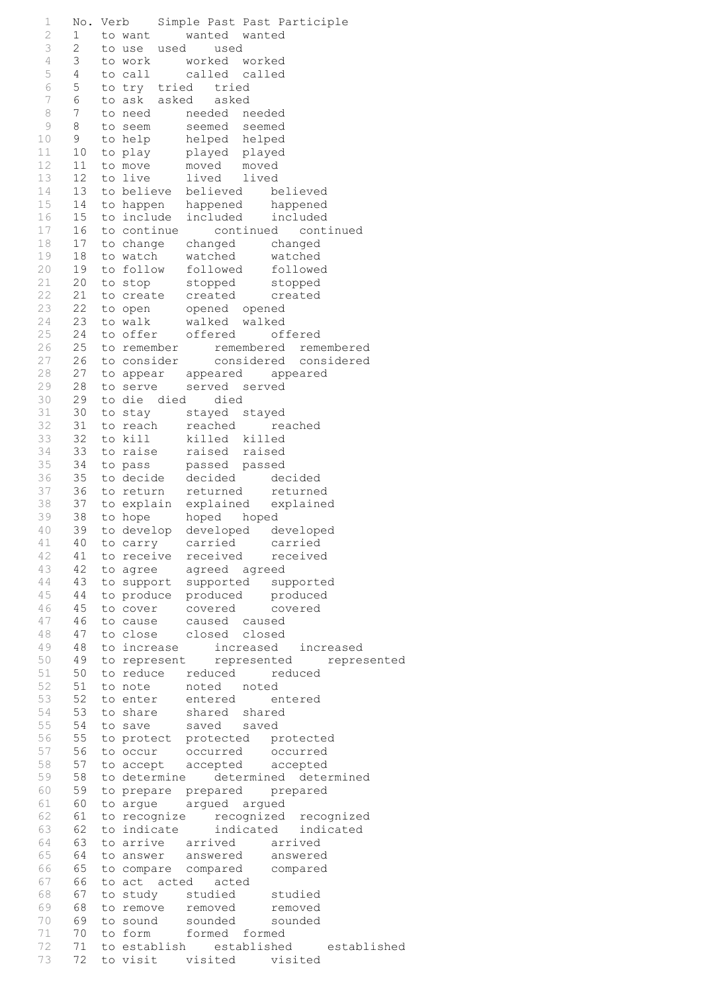1 No. Verb Simple Past Past Participle 2 1 to want wanted wanted 3 2 to use used used<br>4 3 to work worked w 4 3 to work worked worked 5 4 to call called called 6 5 to try tried tried 7 6 to ask asked asked 8 7 to need needed needed<br>9 8 to seem seemed seemed 9 8 to seem seemed seemed 10 9 to help helped helped 11 10 to play played played 12 11 to move moved moved 13 12 to live lived lived 14 13 to believe believed believed 15 14 to happen happened happened 16 15 to include included included 17 16 to continue continued continued 18 17 to change changed changed 19 18 to watch watched watched 20 19 to follow followed followed 21 20 to stop stopped stopped 22 21 to create created created 23 22 to open opened opened 24 23 to walk walked walked 25 24 to offer offered offered 26 25 to remember remembered remembered 27 26 to consider considered considered 28 27 to appear appeared appeared 29 28 to serve served served 30 29 to die died died 31 30 to stay stayed stayed<br>32 31 to reach reached re 32 31 to reach reached reached 33 32 to kill killed killed 34 33 to raise raised raised 35 34 to pass passed passed 36 35 to decide decided decided<br>37 36 to return returned returned 37 36 to return returned returned 38 37 to explain explained explained 39 38 to hope hoped hoped 40 39 to develop developed developed 41 40 to carry carried carried 42 41 to receive received received 43 42 to agree agreed agreed 44 43 to support supported supported 45 44 to produce produced produced 46 45 to cover covered covered 47 46 to cause caused caused 48 47 to close closed closed 49 48 to increase increased increased 50 49 to represent represented represented 51 50 to reduce reduced reduced 52 51 to note noted noted 53 52 to enter entered entered 54 53 to share shared shared 55 54 to save saved saved 56 55 to protect protected protected 57 56 to occur occurred occurred 58 57 to accept accepted accepted 59 58 to determine determined determined 60 59 to prepare prepared prepared 61 60 to argue argued argued 62 61 to recognize recognized recognized 63 62 to indicate indicated indicated 64 63 to arrive arrived arrived 65 64 to answer answered answered 66 65 to compare compared compared 67 66 to act acted acted 68 67 to study studied studied 69 68 to remove removed removed 70 69 to sound sounded sounded 71 70 to form formed formed 72 71 to establish established established 73 72 to visit visited visited